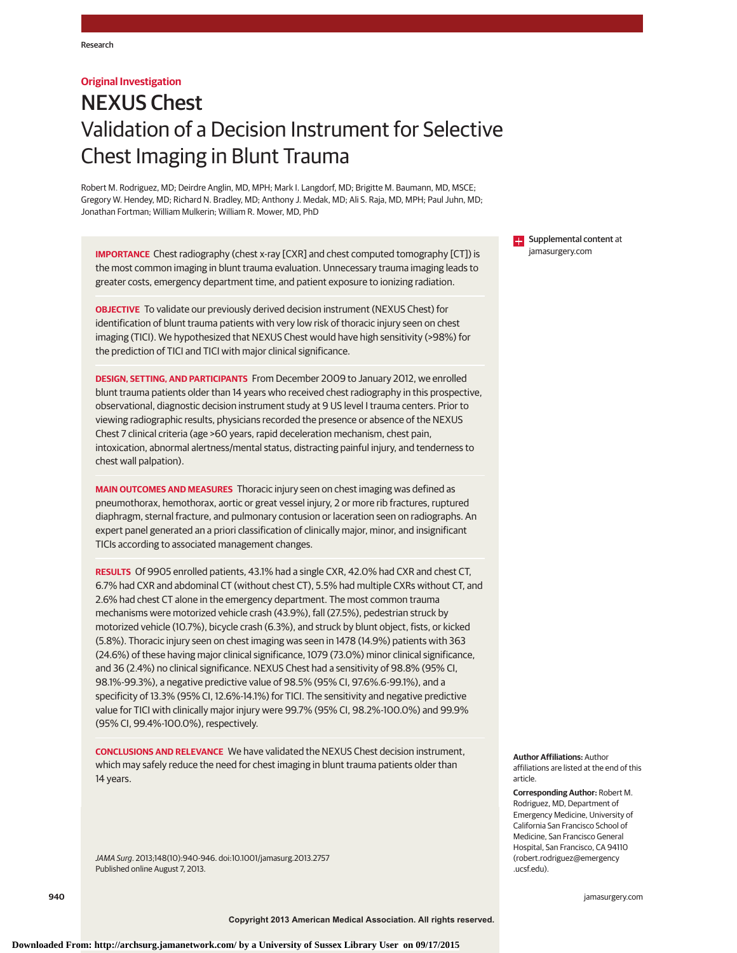# **Original Investigation**

# NEXUS Chest Validation of a Decision Instrument for Selective Chest Imaging in Blunt Trauma

Robert M. Rodriguez, MD; Deirdre Anglin, MD, MPH; Mark I. Langdorf, MD; Brigitte M. Baumann, MD, MSCE; Gregory W. Hendey, MD; Richard N. Bradley, MD; Anthony J. Medak, MD; Ali S. Raja, MD, MPH; Paul Juhn, MD; Jonathan Fortman; William Mulkerin; William R. Mower, MD, PhD

**IMPORTANCE** Chest radiography (chest x-ray [CXR] and chest computed tomography [CT]) is the most common imaging in blunt trauma evaluation. Unnecessary trauma imaging leads to greater costs, emergency department time, and patient exposure to ionizing radiation.

**OBJECTIVE** To validate our previously derived decision instrument (NEXUS Chest) for identification of blunt trauma patients with very low risk of thoracic injury seen on chest imaging (TICI). We hypothesized that NEXUS Chest would have high sensitivity (>98%) for the prediction of TICI and TICI with major clinical significance.

**DESIGN, SETTING, AND PARTICIPANTS** From December 2009 to January 2012, we enrolled blunt trauma patients older than 14 years who received chest radiography in this prospective, observational, diagnostic decision instrument study at 9 US level I trauma centers. Prior to viewing radiographic results, physicians recorded the presence or absence of the NEXUS Chest 7 clinical criteria (age >60 years, rapid deceleration mechanism, chest pain, intoxication, abnormal alertness/mental status, distracting painful injury, and tenderness to chest wall palpation).

**MAIN OUTCOMES AND MEASURES** Thoracic injury seen on chest imaging was defined as pneumothorax, hemothorax, aortic or great vessel injury, 2 or more rib fractures, ruptured diaphragm, sternal fracture, and pulmonary contusion or laceration seen on radiographs. An expert panel generated an a priori classification of clinically major, minor, and insignificant TICIs according to associated management changes.

**RESULTS** Of 9905 enrolled patients, 43.1% had a single CXR, 42.0% had CXR and chest CT, 6.7% had CXR and abdominal CT (without chest CT), 5.5% had multiple CXRs without CT, and 2.6% had chest CT alone in the emergency department. The most common trauma mechanisms were motorized vehicle crash (43.9%), fall (27.5%), pedestrian struck by motorized vehicle (10.7%), bicycle crash (6.3%), and struck by blunt object, fists, or kicked (5.8%). Thoracic injury seen on chest imaging was seen in 1478 (14.9%) patients with 363 (24.6%) of these having major clinical significance, 1079 (73.0%) minor clinical significance, and 36 (2.4%) no clinical significance. NEXUS Chest had a sensitivity of 98.8% (95% CI, 98.1%-99.3%), a negative predictive value of 98.5% (95% CI, 97.6%.6-99.1%), and a specificity of 13.3% (95% CI, 12.6%-14.1%) for TICI. The sensitivity and negative predictive value for TICI with clinically major injury were 99.7% (95% CI, 98.2%-100.0%) and 99.9% (95% CI, 99.4%-100.0%), respectively.

**CONCLUSIONS AND RELEVANCE** We have validated the NEXUS Chest decision instrument, which may safely reduce the need for chest imaging in blunt trauma patients older than 14 years.

JAMA Surg. 2013;148(10):940-946. doi:10.1001/jamasurg.2013.2757 Published online August 7, 2013.

**Examplemental content at** jamasurgery.com

**Author Affiliations:** Author affiliations are listed at the end of this article.

**Corresponding Author:** Robert M. Rodriguez, MD, Department of Emergency Medicine, University of California San Francisco School of Medicine, San Francisco General Hospital, San Francisco, CA 94110 (robert.rodriguez@emergency .ucsf.edu).

**940** jamasurgery.com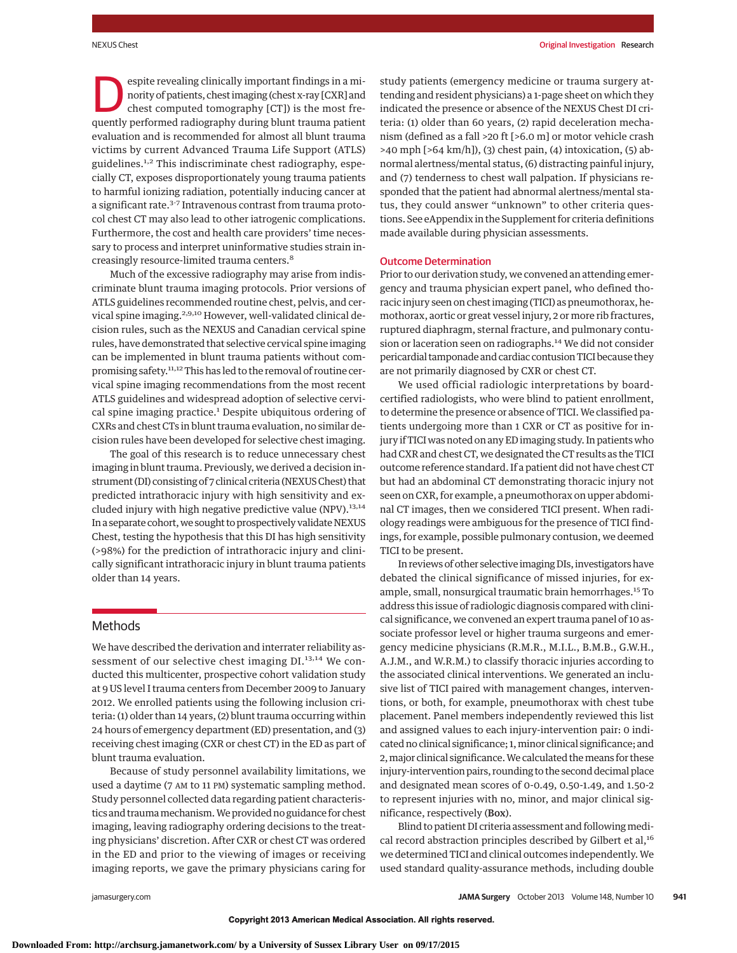espite revealing clinically important findings in a minority of patients, chest imaging (chest x-ray [CXR] and<br>chest computed tomography [CT]) is the most fre-<br>quantly performed radiography during blunt traums patient nority of patients, chest imaging (chest x-ray [CXR] and quently performed radiography during blunt trauma patient evaluation and is recommended for almost all blunt trauma victims by current Advanced Trauma Life Support (ATLS) guidelines.1,2 This indiscriminate chest radiography, especially CT, exposes disproportionately young trauma patients to harmful ionizing radiation, potentially inducing cancer at a significant rate.<sup>3-7</sup> Intravenous contrast from trauma protocol chest CT may also lead to other iatrogenic complications. Furthermore, the cost and health care providers' time necessary to process and interpret uninformative studies strain increasingly resource-limited trauma centers.8

Much of the excessive radiography may arise from indiscriminate blunt trauma imaging protocols. Prior versions of ATLS guidelines recommended routine chest, pelvis, and cervical spine imaging.<sup>2,9,10</sup> However, well-validated clinical decision rules, such as the NEXUS and Canadian cervical spine rules, have demonstrated that selective cervical spine imaging can be implemented in blunt trauma patients without compromising safety.<sup>11,12</sup> This has led to the removal of routine cervical spine imaging recommendations from the most recent ATLS guidelines and widespread adoption of selective cervical spine imaging practice.<sup>1</sup> Despite ubiquitous ordering of CXRs and chest CTs in blunt trauma evaluation, no similar decision rules have been developed for selective chest imaging.

The goal of this research is to reduce unnecessary chest imaging in blunt trauma. Previously, we derived a decision instrument (DI) consisting of 7 clinical criteria (NEXUS Chest) that predicted intrathoracic injury with high sensitivity and excluded injury with high negative predictive value (NPV).<sup>13,14</sup> In a separate cohort, we sought to prospectively validate NEXUS Chest, testing the hypothesis that this DI has high sensitivity (>98%) for the prediction of intrathoracic injury and clinically significant intrathoracic injury in blunt trauma patients older than 14 years.

# Methods

We have described the derivation and interrater reliability assessment of our selective chest imaging DI.<sup>13,14</sup> We conducted this multicenter, prospective cohort validation study at 9 US level I trauma centers from December 2009 to January 2012. We enrolled patients using the following inclusion criteria: (1) older than 14 years, (2) blunt trauma occurring within 24 hours of emergency department (ED) presentation, and (3) receiving chest imaging (CXR or chest CT) in the ED as part of blunt trauma evaluation.

Because of study personnel availability limitations, we used a daytime (7 AM to 11 PM) systematic sampling method. Study personnel collected data regarding patient characteristics and trauma mechanism. We provided no guidance for chest imaging, leaving radiography ordering decisions to the treating physicians' discretion. After CXR or chest CT was ordered in the ED and prior to the viewing of images or receiving imaging reports, we gave the primary physicians caring for

study patients (emergency medicine or trauma surgery attending and resident physicians) a 1-page sheet on which they indicated the presence or absence of the NEXUS Chest DI criteria: (1) older than 60 years, (2) rapid deceleration mechanism (defined as a fall >20 ft [>6.0 m] or motor vehicle crash >40 mph [>64 km/h]), (3) chest pain, (4) intoxication, (5) abnormal alertness/mental status, (6) distracting painful injury, and (7) tenderness to chest wall palpation. If physicians responded that the patient had abnormal alertness/mental status, they could answer "unknown" to other criteria questions. See eAppendix in the Supplement for criteria definitions made available during physician assessments.

## Outcome Determination

Prior to our derivation study, we convened an attending emergency and trauma physician expert panel, who defined thoracic injury seen on chest imaging (TICI) as pneumothorax, hemothorax, aortic or great vessel injury, 2 or more rib fractures, ruptured diaphragm, sternal fracture, and pulmonary contusion or laceration seen on radiographs.<sup>14</sup> We did not consider pericardial tamponade and cardiac contusion TICI because they are not primarily diagnosed by CXR or chest CT.

We used official radiologic interpretations by boardcertified radiologists, who were blind to patient enrollment, to determine the presence or absence of TICI. We classified patients undergoing more than 1 CXR or CT as positive for injury if TICI was noted on any ED imaging study. In patients who had CXR and chest CT, we designated the CT results as the TICI outcome reference standard. If a patient did not have chest CT but had an abdominal CT demonstrating thoracic injury not seen on CXR, for example, a pneumothorax on upper abdominal CT images, then we considered TICI present. When radiology readings were ambiguous for the presence of TICI findings, for example, possible pulmonary contusion, we deemed TICI to be present.

In reviews of other selective imaging DIs, investigators have debated the clinical significance of missed injuries, for example, small, nonsurgical traumatic brain hemorrhages.<sup>15</sup> To address this issue of radiologic diagnosis compared with clinical significance, we convened an expert trauma panel of 10 associate professor level or higher trauma surgeons and emergency medicine physicians (R.M.R., M.I.L., B.M.B., G.W.H., A.J.M., and W.R.M.) to classify thoracic injuries according to the associated clinical interventions. We generated an inclusive list of TICI paired with management changes, interventions, or both, for example, pneumothorax with chest tube placement. Panel members independently reviewed this list and assigned values to each injury-intervention pair: 0 indicated no clinical significance; 1, minor clinical significance; and 2,major clinical significance.We calculated themeans for these injury-intervention pairs, rounding to the second decimal place and designated mean scores of 0-0.49, 0.50-1.49, and 1.50-2 to represent injuries with no, minor, and major clinical significance, respectively (Box).

Blind to patient DI criteria assessment and following medical record abstraction principles described by Gilbert et al,<sup>16</sup> we determined TICI and clinical outcomes independently.We used standard quality-assurance methods, including double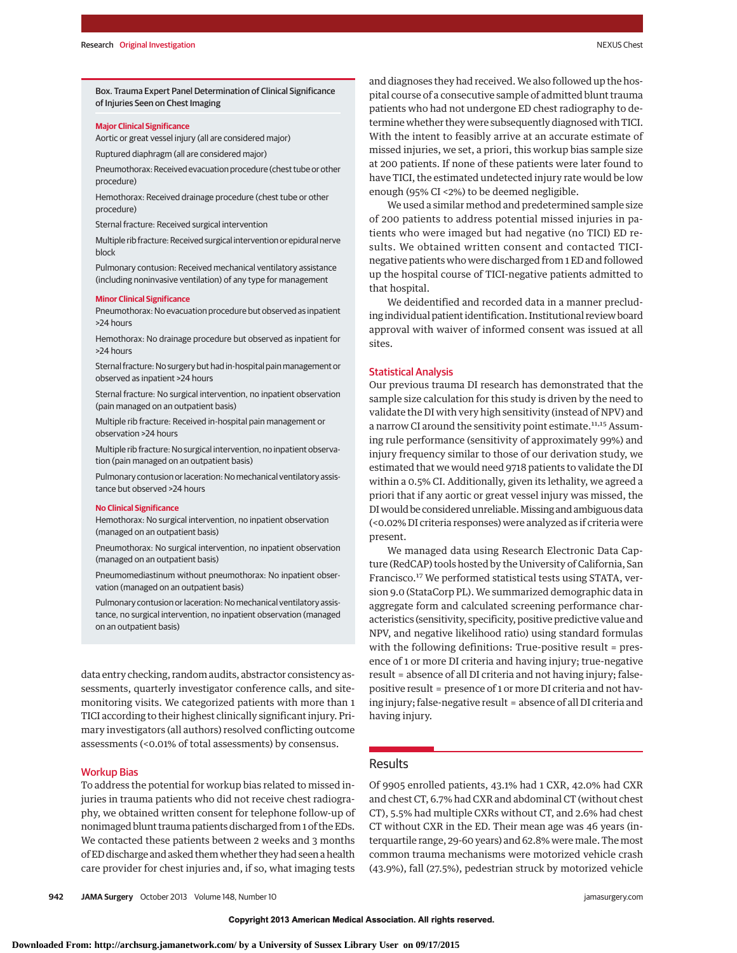Box. Trauma Expert Panel Determination of Clinical Significance of Injuries Seen on Chest Imaging

#### **Major Clinical Significance**

Aortic or great vessel injury (all are considered major)

Ruptured diaphragm (all are considered major)

Pneumothorax: Received evacuation procedure (chest tube or other procedure)

Hemothorax: Received drainage procedure (chest tube or other procedure)

Sternal fracture: Received surgical intervention

Multiple rib fracture: Received surgical intervention or epidural nerve block

Pulmonary contusion: Received mechanical ventilatory assistance (including noninvasive ventilation) of any type for management

#### **Minor Clinical Significance**

Pneumothorax: No evacuation procedure but observed as inpatient >24 hours

Hemothorax: No drainage procedure but observed as inpatient for >24 hours

Sternal fracture: No surgery but had in-hospital pain management or observed as inpatient >24 hours

Sternal fracture: No surgical intervention, no inpatient observation (pain managed on an outpatient basis)

Multiple rib fracture: Received in-hospital pain management or observation >24 hours

Multiple rib fracture: No surgical intervention, no inpatient observation (pain managed on an outpatient basis)

Pulmonary contusion or laceration: No mechanical ventilatory assistance but observed >24 hours

### **No Clinical Significance**

Hemothorax: No surgical intervention, no inpatient observation (managed on an outpatient basis)

Pneumothorax: No surgical intervention, no inpatient observation (managed on an outpatient basis)

Pneumomediastinum without pneumothorax: No inpatient observation (managed on an outpatient basis)

Pulmonary contusion or laceration: No mechanical ventilatory assistance, no surgical intervention, no inpatient observation (managed on an outpatient basis)

data entry checking, random audits, abstractor consistency assessments, quarterly investigator conference calls, and sitemonitoring visits. We categorized patients with more than 1 TICI according to their highest clinically significant injury. Primary investigators (all authors) resolved conflicting outcome assessments (<0.01% of total assessments) by consensus.

# Workup Bias

To address the potential for workup bias related to missed injuries in trauma patients who did not receive chest radiography, we obtained written consent for telephone follow-up of nonimaged blunt trauma patients discharged from 1 of the EDs. We contacted these patients between 2 weeks and 3 months of ED discharge and asked them whether they had seen a health care provider for chest injuries and, if so, what imaging tests

and diagnoses they had received.We also followed up the hospital course of a consecutive sample of admitted blunt trauma patients who had not undergone ED chest radiography to determine whether they were subsequently diagnosed with TICI. With the intent to feasibly arrive at an accurate estimate of missed injuries, we set, a priori, this workup bias sample size at 200 patients. If none of these patients were later found to have TICI, the estimated undetected injury rate would be low enough (95% CI <2%) to be deemed negligible.

We used a similar method and predetermined sample size of 200 patients to address potential missed injuries in patients who were imaged but had negative (no TICI) ED results. We obtained written consent and contacted TICInegative patients who were discharged from 1 ED and followed up the hospital course of TICI-negative patients admitted to that hospital.

We deidentified and recorded data in a manner precluding individual patient identification. Institutional review board approval with waiver of informed consent was issued at all sites.

# Statistical Analysis

Our previous trauma DI research has demonstrated that the sample size calculation for this study is driven by the need to validate the DI with very high sensitivity (instead of NPV) and a narrow CI around the sensitivity point estimate.<sup>11,15</sup> Assuming rule performance (sensitivity of approximately 99%) and injury frequency similar to those of our derivation study, we estimated that we would need 9718 patients to validate the DI within a 0.5% CI. Additionally, given its lethality, we agreed a priori that if any aortic or great vessel injury was missed, the DIwould be considered unreliable.Missing and ambiguous data (<0.02% DI criteria responses) were analyzed as if criteria were present.

We managed data using Research Electronic Data Capture (RedCAP) tools hosted by the University of California, San Francisco.17 We performed statistical tests using STATA, version 9.0 (StataCorp PL). We summarized demographic data in aggregate form and calculated screening performance characteristics (sensitivity, specificity, positive predictive value and NPV, and negative likelihood ratio) using standard formulas with the following definitions: True-positive result = presence of 1 or more DI criteria and having injury; true-negative result = absence of all DI criteria and not having injury; falsepositive result = presence of 1 or more DI criteria and not having injury; false-negative result = absence of all DI criteria and having injury.

# **Results**

Of 9905 enrolled patients, 43.1% had 1 CXR, 42.0% had CXR and chest CT, 6.7% had CXR and abdominal CT (without chest CT), 5.5% had multiple CXRs without CT, and 2.6% had chest CT without CXR in the ED. Their mean age was 46 years (interquartile range, 29-60 years) and 62.8% were male. The most common trauma mechanisms were motorized vehicle crash (43.9%), fall (27.5%), pedestrian struck by motorized vehicle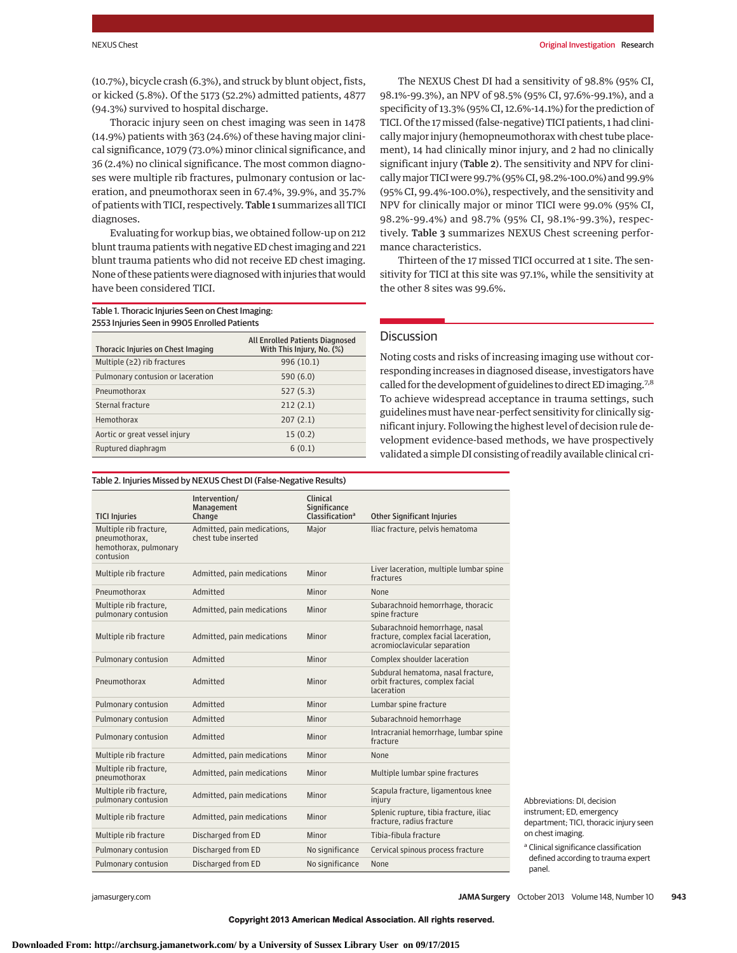NEXUS Chest Original Investigation Research

(10.7%), bicycle crash (6.3%), and struck by blunt object, fists, or kicked (5.8%). Of the 5173 (52.2%) admitted patients, 4877 (94.3%) survived to hospital discharge.

Thoracic injury seen on chest imaging was seen in 1478 (14.9%) patients with 363 (24.6%) of these having major clinical significance, 1079 (73.0%) minor clinical significance, and 36 (2.4%) no clinical significance. The most common diagnoses were multiple rib fractures, pulmonary contusion or laceration, and pneumothorax seen in 67.4%, 39.9%, and 35.7% of patients with TICI, respectively. Table 1 summarizes all TICI diagnoses.

Evaluating for workup bias, we obtained follow-up on 212 blunt trauma patients with negative ED chest imaging and 221 blunt trauma patients who did not receive ED chest imaging. None of these patients were diagnosed with injuries that would have been considered TICI.

# Table 1. Thoracic Injuries Seen on Chest Imaging: 2553 Injuries Seen in 9905 Enrolled Patients

| <b>Thoracic Injuries on Chest Imaging</b> | <b>All Enrolled Patients Diagnosed</b><br>With This Injury, No. (%) |
|-------------------------------------------|---------------------------------------------------------------------|
| Multiple $(≥2)$ rib fractures             | 996 (10.1)                                                          |
| Pulmonary contusion or laceration         | 590 (6.0)                                                           |
| Pneumothorax                              | 527(5.3)                                                            |
| Sternal fracture                          | 212(2.1)                                                            |
| Hemothorax                                | 207(2.1)                                                            |
| Aortic or great vessel injury             | 15(0.2)                                                             |
| Ruptured diaphragm                        | 6(0.1)                                                              |

## Table 2. Injuries Missed by NEXUS Chest DI (False-Negative Results)

The NEXUS Chest DI had a sensitivity of 98.8% (95% CI, 98.1%-99.3%), an NPV of 98.5% (95% CI, 97.6%-99.1%), and a specificity of 13.3% (95% CI, 12.6%-14.1%) for the prediction of TICI. Of the 17missed (false-negative) TICI patients, 1 had clinicallymajor injury (hemopneumothorax with chest tube placement), 14 had clinically minor injury, and 2 had no clinically significant injury (Table 2). The sensitivity and NPV for clinicallymajor TICI were 99.7% (95% CI, 98.2%-100.0%) and 99.9% (95% CI, 99.4%-100.0%), respectively, and the sensitivity and NPV for clinically major or minor TICI were 99.0% (95% CI, 98.2%-99.4%) and 98.7% (95% CI, 98.1%-99.3%), respectively. Table 3 summarizes NEXUS Chest screening performance characteristics.

Thirteen of the 17 missed TICI occurred at 1 site. The sensitivity for TICI at this site was 97.1%, while the sensitivity at the other 8 sites was 99.6%.

# **Discussion**

Noting costs and risks of increasing imaging use without corresponding increases in diagnosed disease, investigators have called for the development of guidelines to direct ED imaging.<sup>7,8</sup> To achieve widespread acceptance in trauma settings, such guidelines must have near-perfect sensitivity for clinically significant injury. Following the highest level of decision rule development evidence-based methods, we have prospectively validated a simple DI consisting of readily available clinical cri-

| <b>TICI Injuries</b>                                                          | Intervention/<br><b>Management</b><br>Change       | Clinical<br><b>Significance</b><br>Classification <sup>a</sup> | <b>Other Significant Injuries</b>                                                                      |  |
|-------------------------------------------------------------------------------|----------------------------------------------------|----------------------------------------------------------------|--------------------------------------------------------------------------------------------------------|--|
| Multiple rib fracture,<br>pneumothorax,<br>hemothorax, pulmonary<br>contusion | Admitted, pain medications,<br>chest tube inserted | Major                                                          | Iliac fracture, pelvis hematoma                                                                        |  |
| Multiple rib fracture                                                         | Admitted, pain medications                         | Minor                                                          | Liver laceration, multiple lumbar spine<br>fractures                                                   |  |
| Pneumothorax                                                                  | Admitted                                           | Minor                                                          | None                                                                                                   |  |
| Multiple rib fracture,<br>pulmonary contusion                                 | Admitted, pain medications                         | Minor                                                          | Subarachnoid hemorrhage, thoracic<br>spine fracture                                                    |  |
| Multiple rib fracture                                                         | Admitted, pain medications                         | Minor                                                          | Subarachnoid hemorrhage, nasal<br>fracture, complex facial laceration,<br>acromioclavicular separation |  |
| Pulmonary contusion                                                           | Admitted                                           | Minor                                                          | Complex shoulder laceration                                                                            |  |
| Pneumothorax                                                                  | Admitted                                           | Minor                                                          | Subdural hematoma, nasal fracture,<br>orbit fractures, complex facial<br>laceration                    |  |
| Pulmonary contusion                                                           | Admitted                                           | Minor                                                          | Lumbar spine fracture                                                                                  |  |
| Pulmonary contusion                                                           | Admitted                                           | Minor                                                          | Subarachnoid hemorrhage                                                                                |  |
| Pulmonary contusion                                                           | Admitted                                           | Minor                                                          | Intracranial hemorrhage, lumbar spine<br>fracture                                                      |  |
| Multiple rib fracture                                                         | Admitted, pain medications                         | Minor                                                          | None                                                                                                   |  |
| Multiple rib fracture.<br>pneumothorax                                        | Admitted, pain medications                         | Minor                                                          | Multiple lumbar spine fractures                                                                        |  |
| Multiple rib fracture,<br>pulmonary contusion                                 | Admitted, pain medications                         | Minor                                                          | Scapula fracture, ligamentous knee<br>injury                                                           |  |
| Multiple rib fracture                                                         | Admitted, pain medications                         | Minor                                                          | Splenic rupture, tibia fracture, iliac<br>fracture, radius fracture                                    |  |
| Multiple rib fracture                                                         | Discharged from ED                                 | Minor                                                          | Tibia-fibula fracture                                                                                  |  |
| Pulmonary contusion                                                           | Discharged from ED                                 | No significance                                                | Cervical spinous process fracture                                                                      |  |
| Pulmonary contusion                                                           | Discharged from ED                                 | No significance                                                | None                                                                                                   |  |

Abbreviations: DI, decision instrument; ED, emergency department; TICI, thoracic injury seen on chest imaging.

<sup>a</sup> Clinical significance classification defined according to trauma expert panel.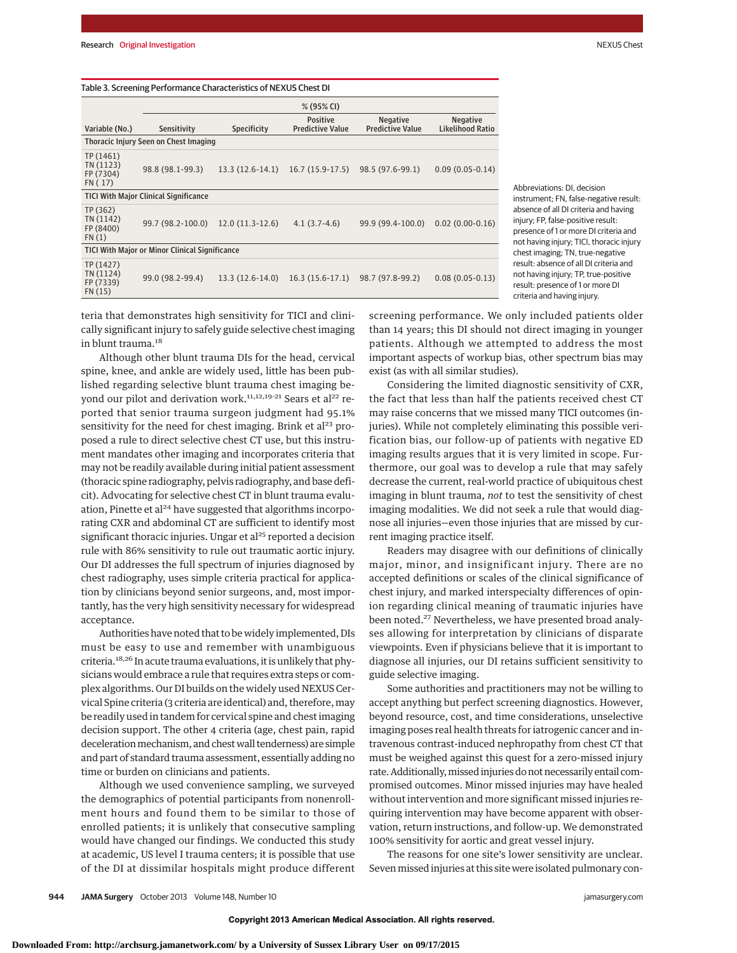#### Table 3. Screening Performance Characteristics of NEXUS Chest DI

|                                                       | % (95% CI)        |                   |                                            |                                            |                                            |  |  |  |
|-------------------------------------------------------|-------------------|-------------------|--------------------------------------------|--------------------------------------------|--------------------------------------------|--|--|--|
| Variable (No.)                                        | Sensitivity       | Specificity       | <b>Positive</b><br><b>Predictive Value</b> | <b>Negative</b><br><b>Predictive Value</b> | <b>Negative</b><br><b>Likelihood Ratio</b> |  |  |  |
| Thoracic Injury Seen on Chest Imaging                 |                   |                   |                                            |                                            |                                            |  |  |  |
| TP (1461)<br>TN (1123)<br>FP (7304)<br>FN(17)         | 98.8 (98.1-99.3)  | $13.3(12.6-14.1)$ | $16.7(15.9-17.5)$                          | $98.5(97.6-99.1)$                          | $0.09(0.05-0.14)$                          |  |  |  |
| <b>TICI With Major Clinical Significance</b>          |                   |                   |                                            |                                            |                                            |  |  |  |
| TP (362)<br>TN (1142)<br>FP (8400)<br>FN(1)           | 99.7 (98.2-100.0) | $12.0(11.3-12.6)$ | $4.1(3.7-4.6)$                             | $99.9(99.4-100.0)$                         | $0.02(0.00-0.16)$                          |  |  |  |
| <b>TICI With Major or Minor Clinical Significance</b> |                   |                   |                                            |                                            |                                            |  |  |  |
| TP (1427)<br>TN (1124)<br>FP (7339)<br>FN(15)         | 99.0 (98.2-99.4)  | $13.3(12.6-14.0)$ | $16.3(15.6-17.1)$                          | 98.7 (97.8-99.2)                           | $0.08(0.05-0.13)$                          |  |  |  |

Abbreviations: DI, decision instrument; FN, false-negative result: absence of all DI criteria and having injury; FP, false-positive result: presence of 1 or more DI criteria and not having injury; TICI, thoracic injury chest imaging; TN, true-negative result: absence of all DI criteria and not having injury; TP, true-positive result: presence of 1 or more DI criteria and having injury.

teria that demonstrates high sensitivity for TICI and clinically significant injury to safely guide selective chest imaging in blunt trauma.<sup>18</sup>

Although other blunt trauma DIs for the head, cervical spine, knee, and ankle are widely used, little has been published regarding selective blunt trauma chest imaging beyond our pilot and derivation work.<sup>11,12,19-21</sup> Sears et al<sup>22</sup> reported that senior trauma surgeon judgment had 95.1% sensitivity for the need for chest imaging. Brink et  $al<sup>23</sup>$  proposed a rule to direct selective chest CT use, but this instrument mandates other imaging and incorporates criteria that may not be readily available during initial patient assessment (thoracic spine radiography, pelvis radiography, and base deficit). Advocating for selective chest CT in blunt trauma evaluation, Pinette et al<sup>24</sup> have suggested that algorithms incorporating CXR and abdominal CT are sufficient to identify most significant thoracic injuries. Ungar et al<sup>25</sup> reported a decision rule with 86% sensitivity to rule out traumatic aortic injury. Our DI addresses the full spectrum of injuries diagnosed by chest radiography, uses simple criteria practical for application by clinicians beyond senior surgeons, and, most importantly, has the very high sensitivity necessary for widespread acceptance.

Authorities have noted that to be widely implemented, DIs must be easy to use and remember with unambiguous criteria.<sup>18,26</sup> In acute trauma evaluations, it is unlikely that physicians would embrace a rule that requires extra steps or complex algorithms. Our DI builds on the widely used NEXUS Cervical Spine criteria (3 criteria are identical) and, therefore, may be readily used in tandem for cervical spine and chest imaging decision support. The other 4 criteria (age, chest pain, rapid deceleration mechanism, and chest wall tenderness) are simple and part of standard trauma assessment, essentially adding no time or burden on clinicians and patients.

Although we used convenience sampling, we surveyed the demographics of potential participants from nonenrollment hours and found them to be similar to those of enrolled patients; it is unlikely that consecutive sampling would have changed our findings. We conducted this study at academic, US level I trauma centers; it is possible that use of the DI at dissimilar hospitals might produce different screening performance. We only included patients older than 14 years; this DI should not direct imaging in younger patients. Although we attempted to address the most important aspects of workup bias, other spectrum bias may exist (as with all similar studies).

Considering the limited diagnostic sensitivity of CXR, the fact that less than half the patients received chest CT may raise concerns that we missed many TICI outcomes (injuries). While not completely eliminating this possible verification bias, our follow-up of patients with negative ED imaging results argues that it is very limited in scope. Furthermore, our goal was to develop a rule that may safely decrease the current, real-world practice of ubiquitous chest imaging in blunt trauma, *not* to test the sensitivity of chest imaging modalities. We did not seek a rule that would diagnose all injuries—even those injuries that are missed by current imaging practice itself.

Readers may disagree with our definitions of clinically major, minor, and insignificant injury. There are no accepted definitions or scales of the clinical significance of chest injury, and marked interspecialty differences of opinion regarding clinical meaning of traumatic injuries have been noted.<sup>27</sup> Nevertheless, we have presented broad analyses allowing for interpretation by clinicians of disparate viewpoints. Even if physicians believe that it is important to diagnose all injuries, our DI retains sufficient sensitivity to guide selective imaging.

Some authorities and practitioners may not be willing to accept anything but perfect screening diagnostics. However, beyond resource, cost, and time considerations, unselective imaging poses real health threats for iatrogenic cancer and intravenous contrast-induced nephropathy from chest CT that must be weighed against this quest for a zero-missed injury rate. Additionally, missed injuries do not necessarily entail compromised outcomes. Minor missed injuries may have healed without intervention and more significant missed injuries requiring intervention may have become apparent with observation, return instructions, and follow-up. We demonstrated 100% sensitivity for aortic and great vessel injury.

The reasons for one site's lower sensitivity are unclear. Seven missed injuries at this site were isolated pulmonary con-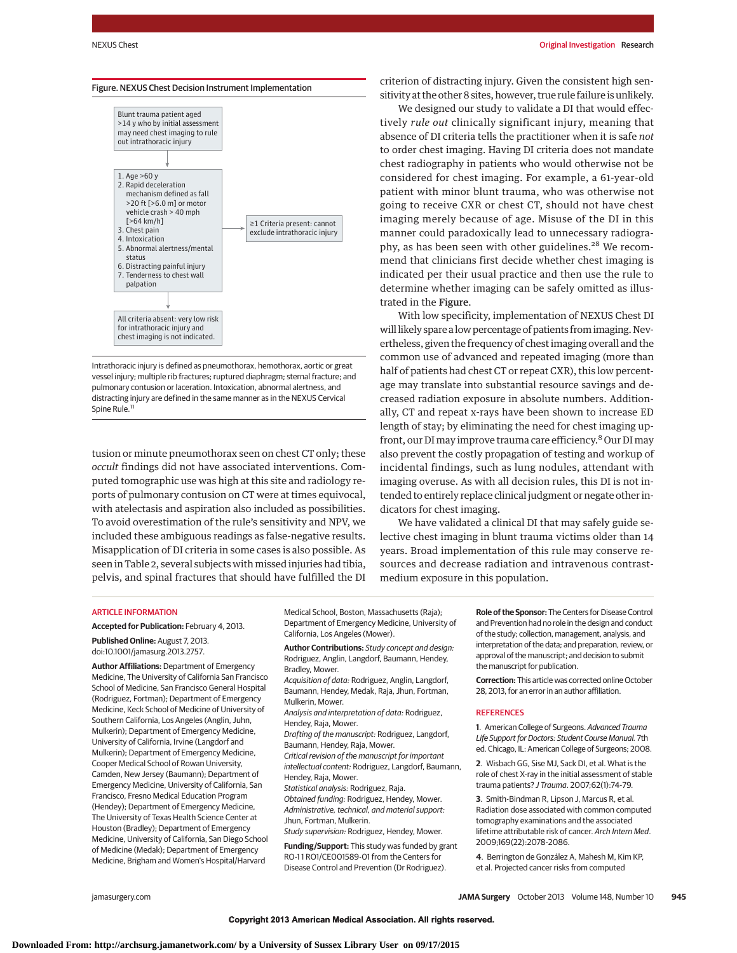

Intrathoracic injury is defined as pneumothorax, hemothorax, aortic or great vessel injury; multiple rib fractures; ruptured diaphragm; sternal fracture; and pulmonary contusion or laceration. Intoxication, abnormal alertness, and distracting injury are defined in the same manner as in the NEXUS Cervical Spine Rule.<sup>11</sup>

tusion or minute pneumothorax seen on chest CT only; these *occult* findings did not have associated interventions. Computed tomographic use was high at this site and radiology reports of pulmonary contusion on CT were at times equivocal, with atelectasis and aspiration also included as possibilities. To avoid overestimation of the rule's sensitivity and NPV, we included these ambiguous readings as false-negative results. Misapplication of DI criteria in some cases is also possible. As seen in Table 2, several subjects with missed injuries had tibia, pelvis, and spinal fractures that should have fulfilled the DI criterion of distracting injury. Given the consistent high sensitivity at the other 8 sites, however, true rule failure is unlikely.

We designed our study to validate a DI that would effectively *rule out* clinically significant injury, meaning that absence of DI criteria tells the practitioner when it is safe *not* to order chest imaging. Having DI criteria does not mandate chest radiography in patients who would otherwise not be considered for chest imaging. For example, a 61-year-old patient with minor blunt trauma, who was otherwise not going to receive CXR or chest CT, should not have chest imaging merely because of age. Misuse of the DI in this manner could paradoxically lead to unnecessary radiography, as has been seen with other guidelines.<sup>28</sup> We recommend that clinicians first decide whether chest imaging is indicated per their usual practice and then use the rule to determine whether imaging can be safely omitted as illustrated in the Figure.

With low specificity, implementation of NEXUS Chest DI will likely spare a low percentage of patients from imaging. Nevertheless, given the frequency of chest imaging overall and the common use of advanced and repeated imaging (more than half of patients had chest CT or repeat CXR), this low percentage may translate into substantial resource savings and decreased radiation exposure in absolute numbers. Additionally, CT and repeat x-rays have been shown to increase ED length of stay; by eliminating the need for chest imaging upfront, our DI may improve trauma care efficiency.8 Our DI may also prevent the costly propagation of testing and workup of incidental findings, such as lung nodules, attendant with imaging overuse. As with all decision rules, this DI is not intended to entirely replace clinical judgment or negate other indicators for chest imaging.

We have validated a clinical DI that may safely guide selective chest imaging in blunt trauma victims older than 14 years. Broad implementation of this rule may conserve resources and decrease radiation and intravenous contrastmedium exposure in this population.

#### ARTICLE INFORMATION

**Accepted for Publication:** February 4, 2013. **Published Online:** August 7, 2013. doi:10.1001/jamasurg.2013.2757.

**Author Affiliations:** Department of Emergency Medicine, The University of California San Francisco School of Medicine, San Francisco General Hospital (Rodriguez, Fortman); Department of Emergency Medicine, Keck School of Medicine of University of Southern California, Los Angeles (Anglin, Juhn, Mulkerin); Department of Emergency Medicine, University of California, Irvine (Langdorf and Mulkerin); Department of Emergency Medicine, Cooper Medical School of Rowan University, Camden, New Jersey (Baumann); Department of Emergency Medicine, University of California, San Francisco, Fresno Medical Education Program (Hendey); Department of Emergency Medicine, The University of Texas Health Science Center at Houston (Bradley); Department of Emergency Medicine, University of California, San Diego School of Medicine (Medak); Department of Emergency Medicine, Brigham and Women's Hospital/Harvard

Medical School, Boston, Massachusetts (Raja); Department of Emergency Medicine, University of California, Los Angeles (Mower).

**Author Contributions:** Study concept and design: Rodriguez, Anglin, Langdorf, Baumann, Hendey, Bradley, Mower.

Acquisition of data: Rodriguez, Anglin, Langdorf, Baumann, Hendey, Medak, Raja, Jhun, Fortman, Mulkerin, Mower.

Analysis and interpretation of data: Rodriguez, Hendey, Raja, Mower.

Drafting of the manuscript: Rodriguez, Langdorf, Baumann, Hendey, Raja, Mower.

Critical revision of the manuscript for important intellectual content: Rodriguez, Langdorf, Baumann, Hendey, Raja, Mower.

Statistical analysis: Rodriguez, Raja. Obtained funding: Rodriguez, Hendey, Mower. Administrative, technical, and material support: Jhun, Fortman, Mulkerin.

Study supervision: Rodriguez, Hendey, Mower.

**Funding/Support:** This study was funded by grant RO-1 1 RO1/CE001589-01 from the Centers for Disease Control and Prevention (Dr Rodriguez).

**Role of the Sponsor:** The Centers for Disease Control and Prevention had no role in the design and conduct of the study; collection, management, analysis, and interpretation of the data; and preparation, review, or approval of the manuscript; and decision to submit the manuscript for publication.

**Correction:** This article was corrected online October 28, 2013, for an error in an author affiliation.

#### **REFERENCES**

**1**. American College of Surgeons. Advanced Trauma Life Support for Doctors: Student Course Manual. 7th ed. Chicago, IL: American College of Surgeons; 2008.

**2**. Wisbach GG, Sise MJ, Sack DI, et al. What is the role of chest X-ray in the initial assessment of stable trauma patients? J Trauma. 2007;62(1):74-79.

**3**. Smith-Bindman R, Lipson J, Marcus R, et al. Radiation dose associated with common computed tomography examinations and the associated lifetime attributable risk of cancer. Arch Intern Med. 2009;169(22):2078-2086.

**4**. Berrington de González A, Mahesh M, Kim KP, et al. Projected cancer risks from computed